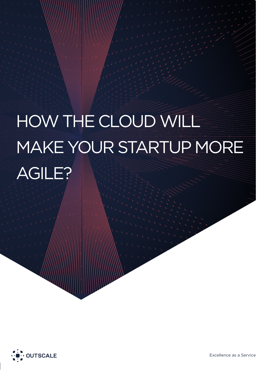# HOW THE CLOUD WILL MAKE YOUR STARTUP MORE AGILE?

How The Cloud Will Make Your Startup More Agile 2014



Excellence as a Service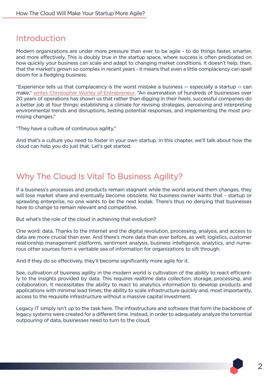#### Introduction

Modern organizations are under more pressure than ever to be agile - to do things faster, smarter, and more effectively. This is doubly true in the startup space, where success is often predicated on how quickly your business can scale and adapt to changing market conditions. It doesn't help, then, that the market's grown so complex in recent years - it means that even a little complacency can spell doom for a fledgling business.

"Experience tells us that complacency is the worst mistake a business -- especially a startup -- can make," [writes Christopher Worley of Entrepreneur.](http://www.entrepreneur.com/article/240705) "An examination of hundreds of businesses over 20 years of operations has shown us that rather than digging in their heels, successful companies do a better job at four things: establishing a climate for revising strategies, perceiving and interpreting environmental trends and disruptions, testing potential responses, and implementing the most promising changes."

"They have a culture of continuous agility."

And that's a culture you need to foster in your own startup. In this chapter, we'll talk about how the cloud can help you do just that. Let's get started.

# Why The Cloud Is Vital To Business Agility?

If a business's processes and products remain stagnant while the world around them changes, they will lose market share and eventually become obsolete. No business owner wants that - startup or sprawling enterprise, no one wants to be the next kodak. There's thus no denying that businesses have to change to remain relevant and competitive.

But what's the role of the cloud in achieving that evolution?

One word: data. Thanks to the Internet and the digital revolution, processing, analysis, and access to data are more crucial than ever. And there's more data than ever before, as well; logistics, customer relationship management platforms, sentiment analysis, business intelligence, analytics, and numerous other sources form a veritable sea of information for organizations to sift through.

And if they do so effectively, they'll become significantly more agile for it.

See, cultivation of business agility in the modern world is cultivation of the ability to react efficiently to the insights provided by data. This requires realtime data collection, storage, processing, and collaboration. It necessitates the ability to react to analytics information to develop products and applications with minimal lead times; the ability to scale infrastructure quickly and, most importantly, access to the requisite infrastructure without a massive capital investment.

Legacy IT simply isn't up to the task here. The infrastructure and software that form the backbone of legacy systems were created for a different time. Instead, in order to adequately analyze the torrential outpouring of data, businesses need to turn to the cloud.

 $\mathcal{P}$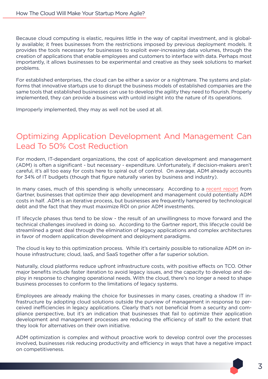Because cloud computing is elastic, requires little in the way of capital investment, and is globally available; it frees businesses from the restrictions imposed by previous deployment models. It provides the tools necessary for businesses to exploit ever-increasing data volumes, through the creation of applications that enable employees and customers to interface with data. Perhaps most importantly, it allows businesses to be experimental and creative as they seek solutions to market problems.

For established enterprises, the cloud can be either a savior or a nightmare. The systems and platforms that innovative startups use to disrupt the business models of established companies are the same tools that established businesses can use to develop the agility they need to flourish. Properly implemented, they can provide a business with untold insight into the nature of its operations.

Improperly implemented, they may as well not be used at all.

## Optimizing Application Development And Management Can Lead To 50% Cost Reduction

For modern, IT-dependant organizations, the cost of application development and management (ADM) is often a significant - but necessary - expenditure. Unfortunately, if decision-makers aren't careful, it's all too easy for costs here to spiral out of control. On average, ADM already accounts for 34% of IT budgets (though that figure naturally varies by business and industry).

In many cases, much of this spending is wholly unnecessary. According to a [recent report](http://www.gartner.com/newsroom/id/2711017?nicam=prsm13) from Gartner, businesses that optimize their app development and management could potentially ADM costs in half. .ADM is an iterative process, but businesses are frequently hampered by technological debt and the fact that they must maximize ROI on prior ADM investments.

IT lifecycle phases thus tend to be slow - the result of an unwillingness to move forward and the technical challenges involved in doing so. According to the Gartner report, this lifecycle could be streamlined a great deal through the elimination of legacy applications and complex architectures in favor of modern application development and deployment paradigms.

The cloud is key to this optimization process. While it's certainly possible to rationalize ADM on inhouse infrastructure; cloud, IaaS, and SaaS together offer a far superior solution.

Naturally, cloud platforms reduce upfront infrastructure costs, with positive effects on TCO. Other major benefits include faster iteration to avoid legacy issues, and the capacity to develop and deploy in response to changing operational needs. With the cloud, there's no longer a need to shape business processes to conform to the limitations of legacy systems.

Employees are already making the choice for businesses in many cases, creating a shadow IT infrastructure by adopting cloud solutions outside the purview of management in response to perceived inefficiencies in legacy applications. Clearly that's not beneficial from a security and compliance perspective, but it's an indication that businesses that fail to optimize their application development and management processes are reducing the efficiency of staff to the extent that they look for alternatives on their own initiative.

ADM optimization is complex and without proactive work to develop control over the processes involved, businesses risk reducing productivity and efficiency in ways that have a negative impact on competitiveness.